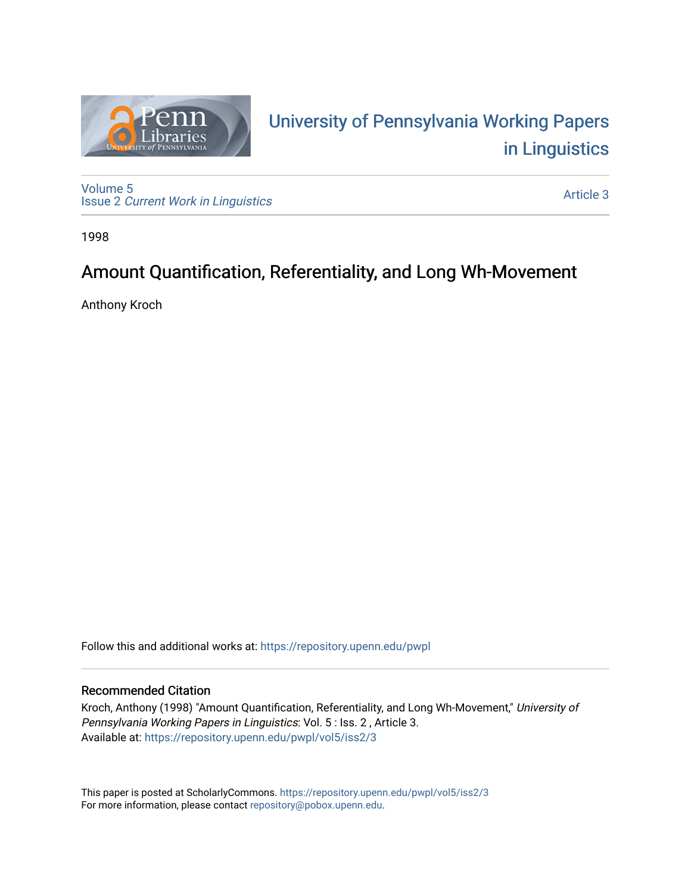

# University of P[ennsylvania Working P](https://repository.upenn.edu/pwpl)apers [in Linguistics](https://repository.upenn.edu/pwpl)

[Volume 5](https://repository.upenn.edu/pwpl/vol5) Issue 2 [Current Work in Linguistics](https://repository.upenn.edu/pwpl/vol5/iss2) 

[Article 3](https://repository.upenn.edu/pwpl/vol5/iss2/3) 

1998

## Amount Quantification, Referentiality, and Long Wh-Movement

Anthony Kroch

Follow this and additional works at: [https://repository.upenn.edu/pwpl](https://repository.upenn.edu/pwpl?utm_source=repository.upenn.edu%2Fpwpl%2Fvol5%2Fiss2%2F3&utm_medium=PDF&utm_campaign=PDFCoverPages) 

## Recommended Citation

Kroch, Anthony (1998) "Amount Quantification, Referentiality, and Long Wh-Movement," University of Pennsylvania Working Papers in Linguistics: Vol. 5 : Iss. 2 , Article 3. Available at: [https://repository.upenn.edu/pwpl/vol5/iss2/3](https://repository.upenn.edu/pwpl/vol5/iss2/3?utm_source=repository.upenn.edu%2Fpwpl%2Fvol5%2Fiss2%2F3&utm_medium=PDF&utm_campaign=PDFCoverPages) 

This paper is posted at ScholarlyCommons.<https://repository.upenn.edu/pwpl/vol5/iss2/3> For more information, please contact [repository@pobox.upenn.edu.](mailto:repository@pobox.upenn.edu)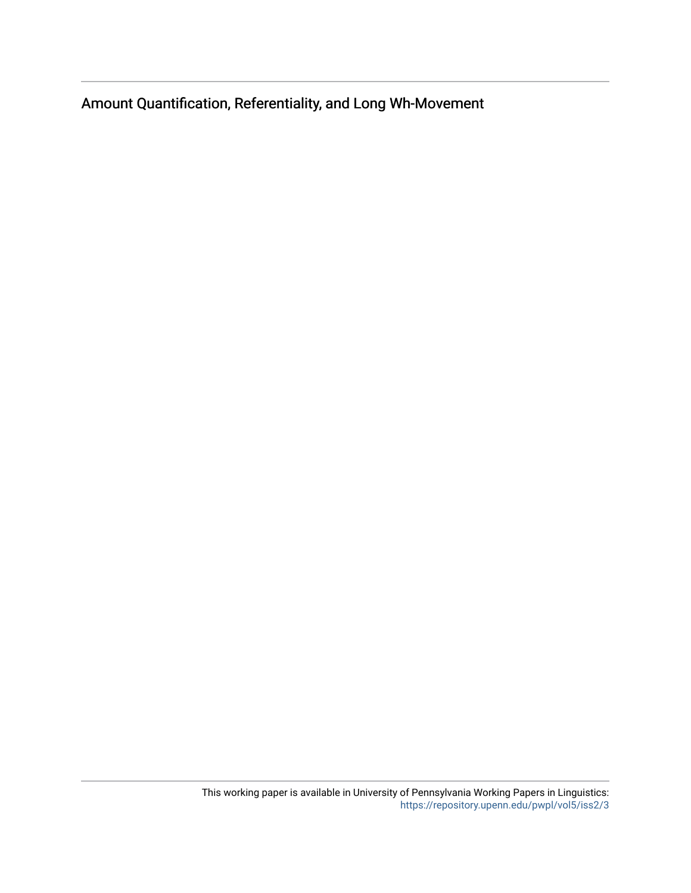Amount Quantification, Referentiality, and Long Wh-Movement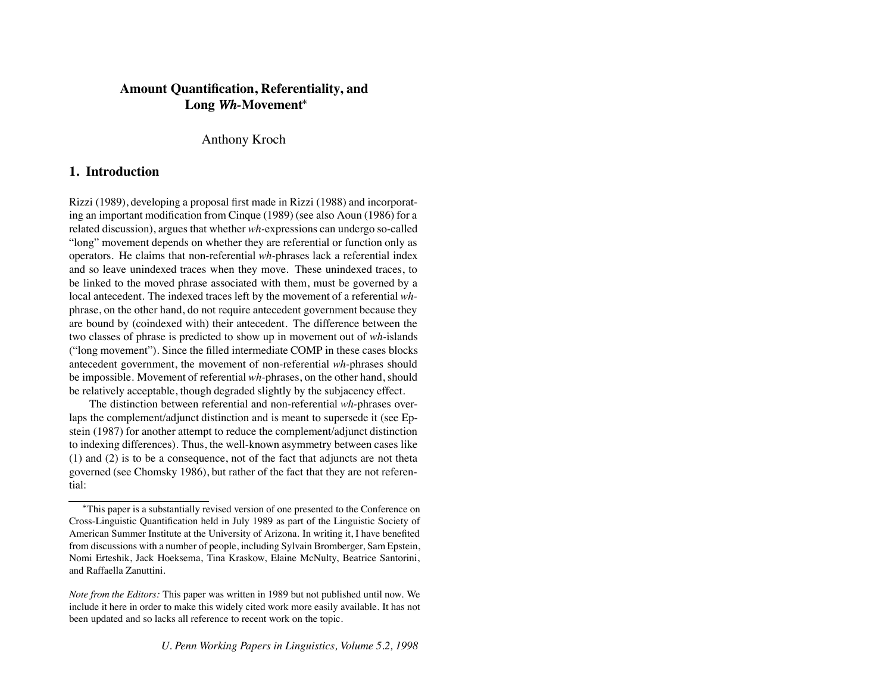## **Amount Quantification, Referentiality, and Long** *Wh-***Movement**

Anthony Kroch

## **1. Introduction**

Rizzi (1989), developing a proposal first made in Rizzi (1988) and incorporating an important modification from Cinque (1989) (see also Aoun (1986) for a related discussion), argues that whether *wh-*expressions can undergo so-called "long" movement depends on whether they are referential or function only as operators. He claims that non-referential *wh-*phrases lack a referential index and so leave unindexed traces when they move. These unindexed traces, to be linked to the moved phrase associated with them, must be governed by a local antecedent. The indexed traces left by the movement of a referential *wh*phrase, on the other hand, do not require antecedent government because they are bound by (coindexed with) their antecedent. The difference between the two classes of phrase is predicted to show up in movement out of *wh-*islands ("long movement"). Since the filled intermediate COMP in these cases blocks antecedent government, the movement of non-referential *wh-*phrases should be impossible. Movement of referential *wh-*phrases, on the other hand, should be relatively acceptable, though degraded slightly by the subjacency effect.

The distinction between referential and non-referential *wh-*phrases overlaps the complement/adjunct distinction and is meant to supersede it (see Epstein (1987) for another attempt to reduce the complement/adjunct distinction to indexing differences). Thus, the well-known asymmetry between cases like (1) and (2) is to be a consequence, not of the fact that adjuncts are not theta governed (see Chomsky 1986), but rather of the fact that they are not referential:

This paper is a substantially revised version of one presented to the Conference on Cross-Linguistic Quantification held in July 1989 as part of the Linguistic Society of American Summer Institute at the University of Arizona. In writing it, I have benefited from discussions with a number of people, including Sylvain Bromberger, Sam Epstein, Nomi Erteshik, Jack Hoeksema, Tina Kraskow, Elaine McNulty, Beatrice Santorini, and Raffaella Zanuttini.

*Note from the Editors:* This paper was written in 1989 but not published until now. We include it here in order to make this widely cited work more easily available. It has not been updated and so lacks all reference to recent work on the topic.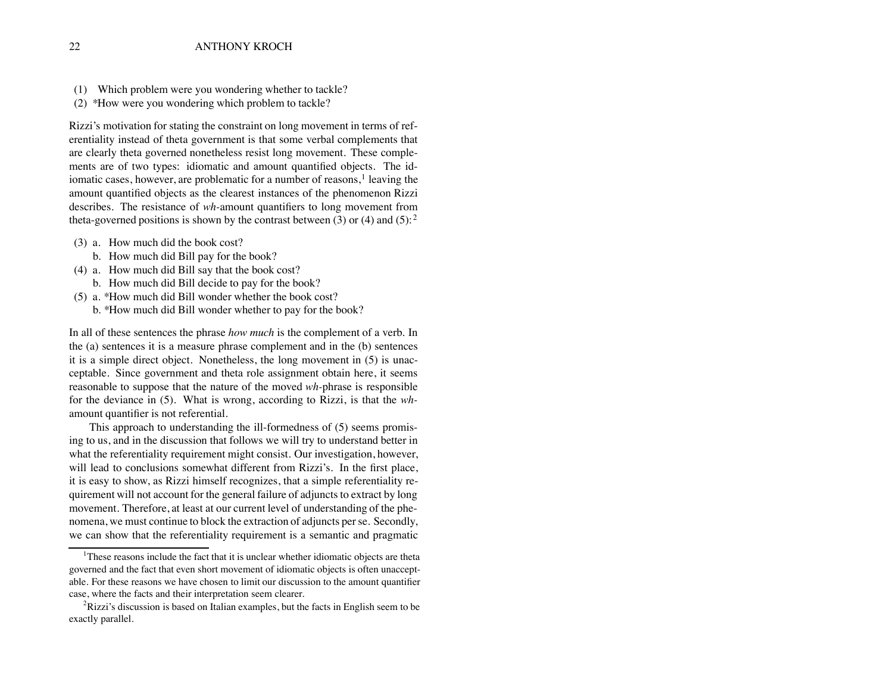- (1) Which problem were you wondering whether to tackle?
- (2) \*How were you wondering which problem to tackle?

Rizzi's motivation for stating the constraint on long movement in terms of referentiality instead of theta government is that some verbal complements that are clearly theta governed nonetheless resist long movement. These complements are of two types: idiomatic and amount quantified objects. The idiomatic cases, however, are problematic for a number of reasons, $<sup>1</sup>$  leaving the</sup> amount quantified objects as the clearest instances of the phenomenon Rizzi describes. The resistance of *wh-*amount quantifiers to long movement from theta-governed positions is shown by the contrast between (3) or (4) and (5):<sup>2</sup>

- (3) a. How much did the book cost?
	- b. How much did Bill pay for the book?
- (4) a. How much did Bill say that the book cost?
	- b. How much did Bill decide to pay for the book?
- (5) a. \*How much did Bill wonder whether the book cost?
	- b. \*How much did Bill wonder whether to pay for the book?

In all of these sentences the phrase *how much* is the complement of a verb. In the (a) sentences it is a measure phrase complement and in the (b) sentences it is a simple direct object. Nonetheless, the long movement in (5) is unacceptable. Since government and theta role assignment obtain here, it seems reasonable to suppose that the nature of the moved *wh-*phrase is responsible for the deviance in (5). What is wrong, according to Rizzi, is that the *wh*amount quantifier is not referential.

This approach to understanding the ill-formedness of (5) seems promising to us, and in the discussion that follows we will try to understand better in what the referentiality requirement might consist. Our investigation, however, will lead to conclusions somewhat different from Rizzi's. In the first place, it is easy to show, as Rizzi himself recognizes, that a simple referentiality requirement will not account for the general failure of adjuncts to extract by long movement. Therefore, at least at our current level of understanding of the phenomena, we must continue to block the extraction of adjuncts per se. Secondly, we can show that the referentiality requirement is a semantic and pragmatic

<sup>&</sup>lt;sup>1</sup>These reasons include the fact that it is unclear whether idiomatic objects are theta governed and the fact that even short movement of idiomatic objects is often unacceptable. For these reasons we have chosen to limit our discussion to the amount quantifier case, where the facts and their interpretation seem clearer.

<sup>&</sup>lt;sup>2</sup>Rizzi's discussion is based on Italian examples, but the facts in English seem to be exactly parallel.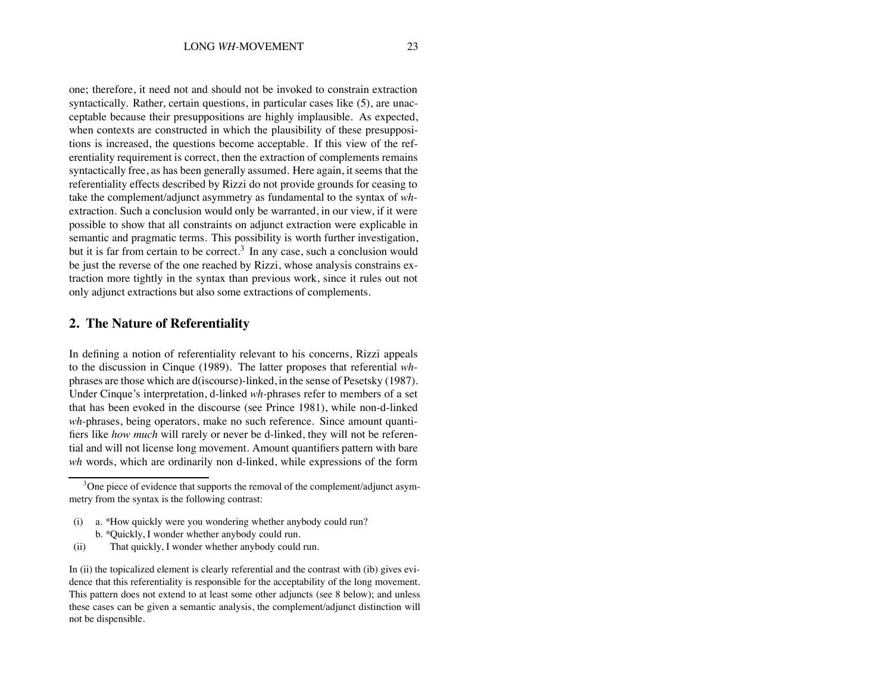one; therefore, it need not and should not be invoked to constrain extraction syntactically. Rather, certain questions, in particular cases like (5), are unacceptable because their presuppositions are highly implausible. As expected, when contexts are constructed in which the plausibility of these presuppositions is increased, the questions become acceptable. If this view of the referentiality requirement is correct, then the extraction of complements remains syntactically free, as has been generally assumed. Here again, it seems that the referentiality effects described by Rizzi do not provide grounds for ceasing to take the complement/adjunct asymmetry as fundamental to the syntax of *wh*extraction. Such a conclusion would only be warranted, in our view, if it were possible to show that all constraints on adjunct extraction were explicable in semantic and pragmatic terms. This possibility is worth further investigation, but it is far from certain to be correct.<sup>3</sup> In any case, such a conclusion would be just the reverse of the one reached by Rizzi, whose analysis constrains extraction more tightly in the syntax than previous work, since it rules out not only adjunct extractions but also some extractions of complements.

#### **2. The Nature of Referentiality**

In defining a notion of referentiality relevant to his concerns, Rizzi appeals to the discussion in Cinque (1989). The latter proposes that referential *wh*phrases are those which are d(iscourse)-linked, in the sense of Pesetsky (1987). Under Cinque's interpretation, d-linked *wh-*phrases refer to members of a set that has been evoked in the discourse (see Prince 1981), while non-d-linked *wh-*phrases, being operators, make no such reference. Since amount quantifiers like *how much* will rarely or never be d-linked, they will not be referential and will not license long movement. Amount quantifiers pattern with bare *wh* words, which are ordinarily non d-linked, while expressions of the form

- (i) a. \*How quickly were you wondering whether anybody could run? b. \*Quickly, I wonder whether anybody could run.
- (ii) That quickly, I wonder whether anybody could run.

<sup>&</sup>lt;sup>3</sup>One piece of evidence that supports the removal of the complement/adjunct asymmetry from the syntax is the following contrast:

In (ii) the topicalized element is clearly referential and the contrast with (ib) gives evidence that this referentiality is responsible for the acceptability of the long movement. This pattern does not extend to at least some other adjuncts (see 8 below); and unless these cases can be given a semantic analysis, the complement/adjunct distinction will not be dispensible.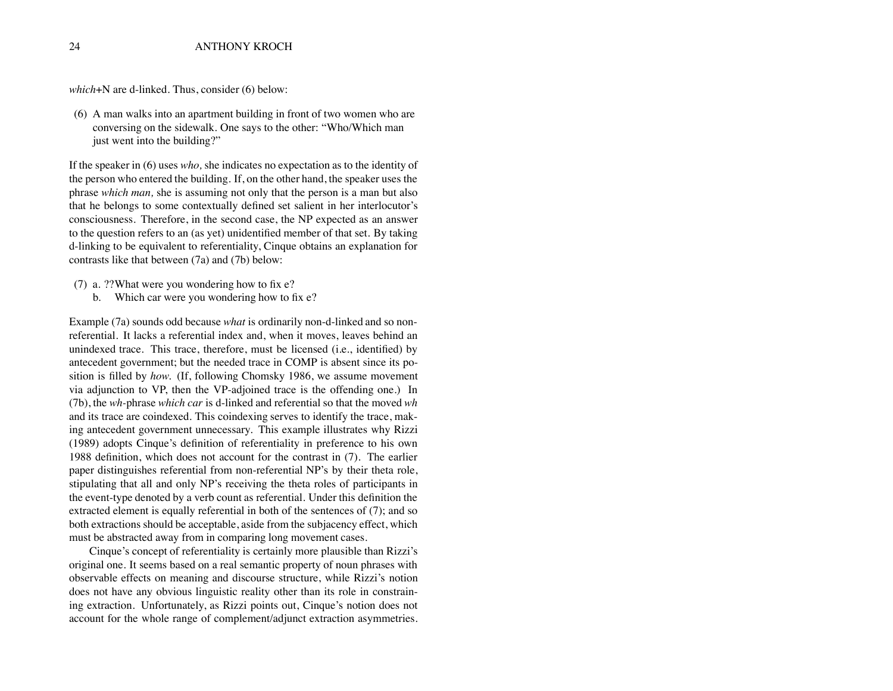*which*+N are d-linked. Thus, consider (6) below:

(6) A man walks into an apartment building in front of two women who are conversing on the sidewalk. One says to the other: "Who/Which man just went into the building?"

If the speaker in (6) uses *who,* she indicates no expectation as to the identity of the person who entered the building. If, on the other hand, the speaker uses the phrase *which man,* she is assuming not only that the person is a man but also that he belongs to some contextually defined set salient in her interlocutor's consciousness. Therefore, in the second case, the NP expected as an answer to the question refers to an (as yet) unidentified member of that set. By taking d-linking to be equivalent to referentiality, Cinque obtains an explanation for contrasts like that between (7a) and (7b) below:

- (7) a. ??What were you wondering how to fix e?
	- b. Which car were you wondering how to fix e?

Example (7a) sounds odd because *what* is ordinarily non-d-linked and so nonreferential. It lacks a referential index and, when it moves, leaves behind an unindexed trace. This trace, therefore, must be licensed (i.e., identified) by antecedent government; but the needed trace in COMP is absent since its position is filled by *how.* (If, following Chomsky 1986, we assume movement via adjunction to VP, then the VP-adjoined trace is the offending one.) In (7b), the *wh-*phrase *which car* is d-linked and referential so that the moved *wh* and its trace are coindexed. This coindexing serves to identify the trace, making antecedent government unnecessary. This example illustrates why Rizzi (1989) adopts Cinque's definition of referentiality in preference to his own 1988 definition, which does not account for the contrast in (7). The earlier paper distinguishes referential from non-referential NP's by their theta role, stipulating that all and only NP's receiving the theta roles of participants in the event-type denoted by a verb count as referential. Under this definition the extracted element is equally referential in both of the sentences of (7); and so both extractions should be acceptable, aside from the subjacency effect, which must be abstracted away from in comparing long movement cases.

Cinque's concept of referentiality is certainly more plausible than Rizzi's original one. It seems based on a real semantic property of noun phrases with observable effects on meaning and discourse structure, while Rizzi's notion does not have any obvious linguistic reality other than its role in constraining extraction. Unfortunately, as Rizzi points out, Cinque's notion does not account for the whole range of complement/adjunct extraction asymmetries.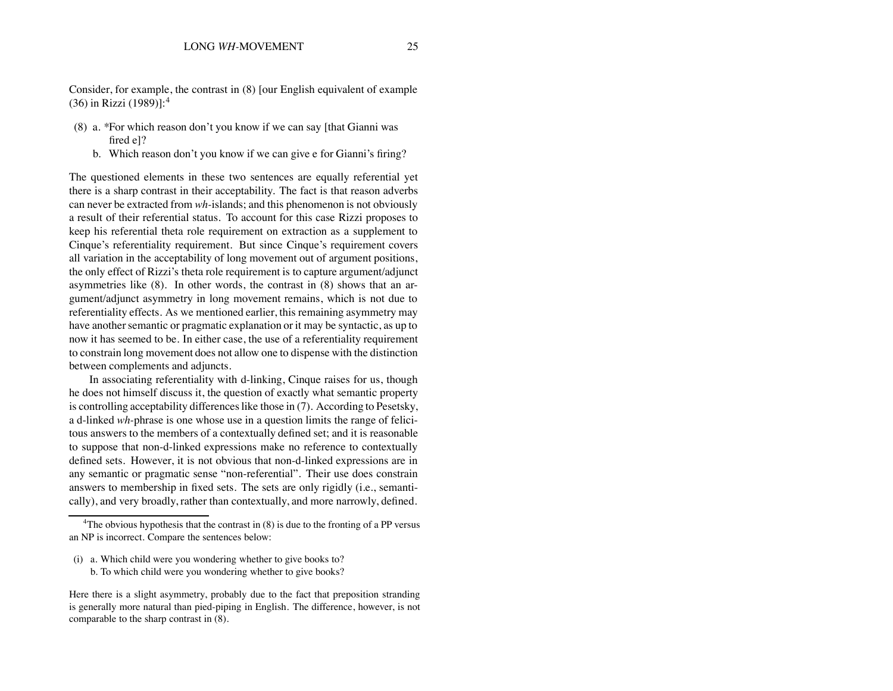Consider, for example, the contrast in (8) [our English equivalent of example (36) in Rizzi (1989)]:<sup>4</sup>

- (8) a. \*For which reason don't you know if we can say [that Gianni was fired e]?
	- b. Which reason don't you know if we can give e for Gianni's firing?

The questioned elements in these two sentences are equally referential yet there is a sharp contrast in their acceptability. The fact is that reason adverbs can never be extracted from *wh-*islands; and this phenomenon is not obviously a result of their referential status. To account for this case Rizzi proposes to keep his referential theta role requirement on extraction as a supplement to Cinque's referentiality requirement. But since Cinque's requirement covers all variation in the acceptability of long movement out of argument positions, the only effect of Rizzi's theta role requirement is to capture argument/adjunct asymmetries like (8). In other words, the contrast in (8) shows that an argument/adjunct asymmetry in long movement remains, which is not due to referentiality effects. As we mentioned earlier, this remaining asymmetry may have another semantic or pragmatic explanation or it may be syntactic, as up to now it has seemed to be. In either case, the use of a referentiality requirement to constrain long movement does not allow one to dispense with the distinction between complements and adjuncts.

In associating referentiality with d-linking, Cinque raises for us, though he does not himself discuss it, the question of exactly what semantic property is controlling acceptability differences like those in (7). According to Pesetsky, a d-linked *wh-*phrase is one whose use in a question limits the range of felicitous answers to the members of a contextually defined set; and it is reasonable to suppose that non-d-linked expressions make no reference to contextually defined sets. However, it is not obvious that non-d-linked expressions are in any semantic or pragmatic sense "non-referential". Their use does constrain answers to membership in fixed sets. The sets are only rigidly (i.e., semantically), and very broadly, rather than contextually, and more narrowly, defined.

(i) a. Which child were you wondering whether to give books to? b. To which child were you wondering whether to give books?

Here there is a slight asymmetry, probably due to the fact that preposition stranding is generally more natural than pied-piping in English. The difference, however, is not comparable to the sharp contrast in (8).

<sup>&</sup>lt;sup>4</sup>The obvious hypothesis that the contrast in  $(8)$  is due to the fronting of a PP versus an NP is incorrect. Compare the sentences below: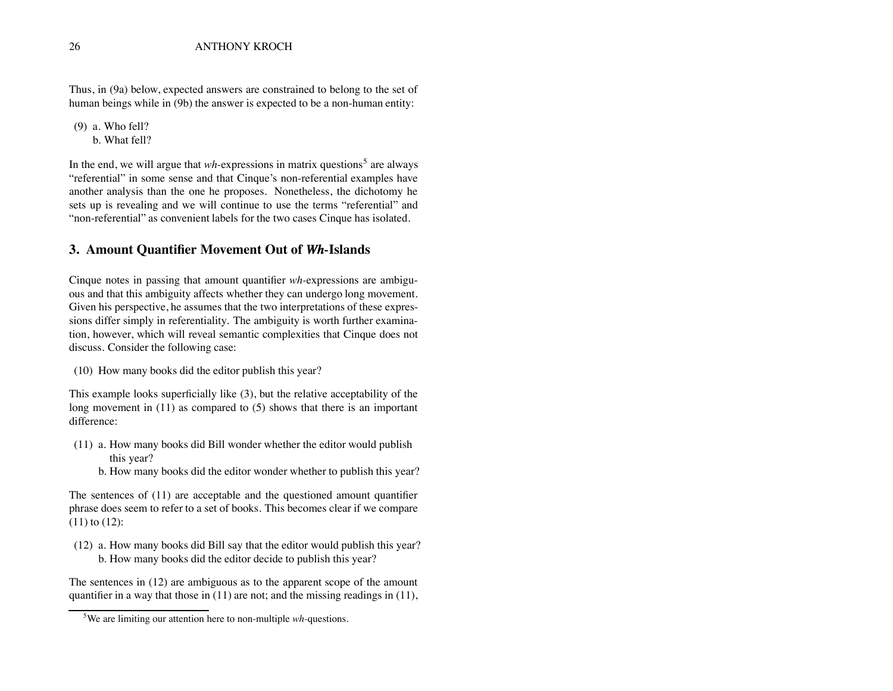Thus, in (9a) below, expected answers are constrained to belong to the set of human beings while in (9b) the answer is expected to be a non-human entity:

(9) a. Who fell? b. What fell?

In the end, we will argue that *wh*-expressions in matrix questions<sup>5</sup> are always "referential" in some sense and that Cinque's non-referential examples have another analysis than the one he proposes. Nonetheless, the dichotomy he sets up is revealing and we will continue to use the terms "referential" and "non-referential" as convenient labels for the two cases Cinque has isolated.

#### **3. Amount Quantifier Movement Out of** *Wh-***Islands**

Cinque notes in passing that amount quantifier *wh-*expressions are ambiguous and that this ambiguity affects whether they can undergo long movement. Given his perspective, he assumes that the two interpretations of these expressions differ simply in referentiality. The ambiguity is worth further examination, however, which will reveal semantic complexities that Cinque does not discuss. Consider the following case:

(10) How many books did the editor publish this year?

This example looks superficially like (3), but the relative acceptability of the long movement in (11) as compared to (5) shows that there is an important difference:

- (11) a. How many books did Bill wonder whether the editor would publish this year?
	- b. How many books did the editor wonder whether to publish this year?

The sentences of (11) are acceptable and the questioned amount quantifier phrase does seem to refer to a set of books. This becomes clear if we compare (11) to (12):

(12) a. How many books did Bill say that the editor would publish this year? b. How many books did the editor decide to publish this year?

The sentences in (12) are ambiguous as to the apparent scope of the amount quantifier in a way that those in  $(11)$  are not; and the missing readings in  $(11)$ ,

<sup>5</sup> We are limiting our attention here to non-multiple *wh-*questions.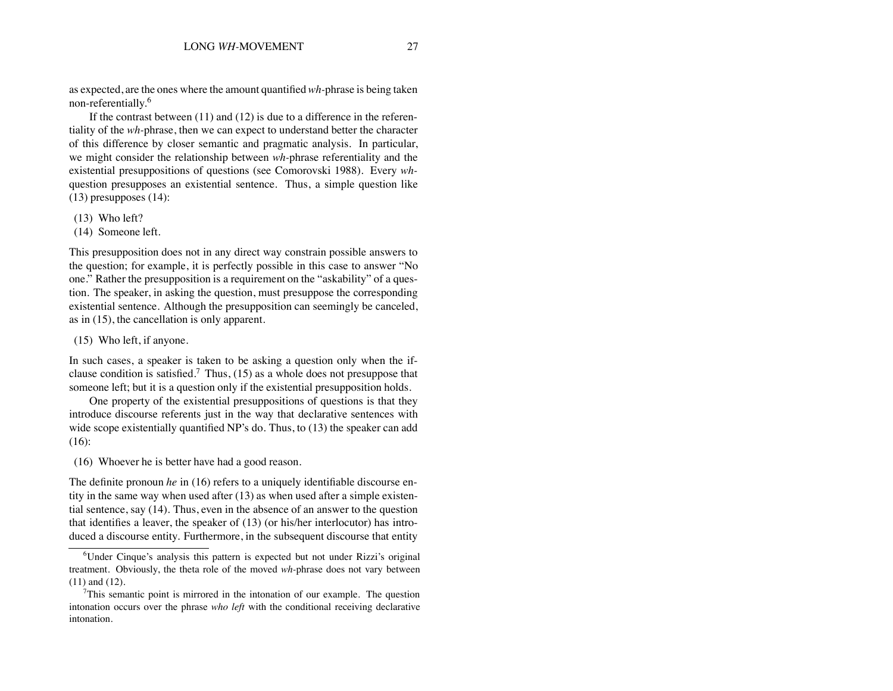as expected, are the ones where the amount quantified *wh-*phrase is being taken non-referentially.<sup>6</sup>

If the contrast between  $(11)$  and  $(12)$  is due to a difference in the referentiality of the *wh-*phrase, then we can expect to understand better the character of this difference by closer semantic and pragmatic analysis. In particular, we might consider the relationship between *wh-*phrase referentiality and the existential presuppositions of questions (see Comorovski 1988). Every *wh*question presupposes an existential sentence. Thus, a simple question like (13) presupposes (14):

- (13) Who left?
- (14) Someone left.

This presupposition does not in any direct way constrain possible answers to the question; for example, it is perfectly possible in this case to answer "No one." Rather the presupposition is a requirement on the "askability" of a question. The speaker, in asking the question, must presuppose the corresponding existential sentence. Although the presupposition can seemingly be canceled, as in (15), the cancellation is only apparent.

(15) Who left, if anyone.

In such cases, a speaker is taken to be asking a question only when the ifclause condition is satisfied.<sup>7</sup> Thus, (15) as a whole does not presuppose that someone left; but it is a question only if the existential presupposition holds.

One property of the existential presuppositions of questions is that they introduce discourse referents just in the way that declarative sentences with wide scope existentially quantified NP's do. Thus, to (13) the speaker can add (16):

(16) Whoever he is better have had a good reason.

The definite pronoun *he* in (16) refers to a uniquely identifiable discourse entity in the same way when used after (13) as when used after a simple existential sentence, say (14). Thus, even in the absence of an answer to the question that identifies a leaver, the speaker of (13) (or his/her interlocutor) has introduced a discourse entity. Furthermore, in the subsequent discourse that entity

<sup>&</sup>lt;sup>6</sup>Under Cinque's analysis this pattern is expected but not under Rizzi's original treatment. Obviously, the theta role of the moved *wh-*phrase does not vary between (11) and (12).

 $7$ This semantic point is mirrored in the intonation of our example. The question intonation occurs over the phrase *who left* with the conditional receiving declarative intonation.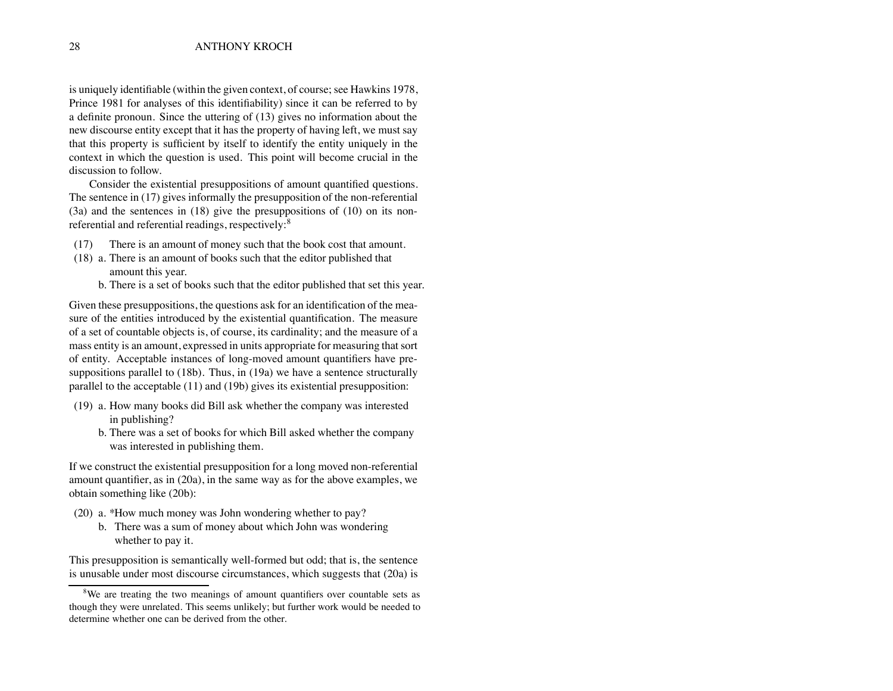is uniquely identifiable (within the given context, of course; see Hawkins 1978, Prince 1981 for analyses of this identifiability) since it can be referred to by a definite pronoun. Since the uttering of (13) gives no information about the new discourse entity except that it has the property of having left, we must say that this property is sufficient by itself to identify the entity uniquely in the context in which the question is used. This point will become crucial in the discussion to follow.

Consider the existential presuppositions of amount quantified questions. The sentence in (17) gives informally the presupposition of the non-referential (3a) and the sentences in (18) give the presuppositions of (10) on its nonreferential and referential readings, respectively:<sup>8</sup>

- (17) There is an amount of money such that the book cost that amount.
- (18) a. There is an amount of books such that the editor published that amount this year.
	- b. There is a set of books such that the editor published that set this year.

Given these presuppositions, the questions ask for an identification of the measure of the entities introduced by the existential quantification. The measure of a set of countable objects is, of course, its cardinality; and the measure of a mass entity is an amount, expressed in units appropriate for measuring that sort of entity. Acceptable instances of long-moved amount quantifiers have presuppositions parallel to (18b). Thus, in (19a) we have a sentence structurally parallel to the acceptable (11) and (19b) gives its existential presupposition:

- (19) a. How many books did Bill ask whether the company was interested in publishing?
	- b. There was a set of books for which Bill asked whether the company was interested in publishing them.

If we construct the existential presupposition for a long moved non-referential amount quantifier, as in (20a), in the same way as for the above examples, we obtain something like (20b):

- (20) a. \*How much money was John wondering whether to pay?
	- b. There was a sum of money about which John was wondering whether to pay it.

This presupposition is semantically well-formed but odd; that is, the sentence is unusable under most discourse circumstances, which suggests that (20a) is

<sup>&</sup>lt;sup>8</sup>We are treating the two meanings of amount quantifiers over countable sets as though they were unrelated. This seems unlikely; but further work would be needed to determine whether one can be derived from the other.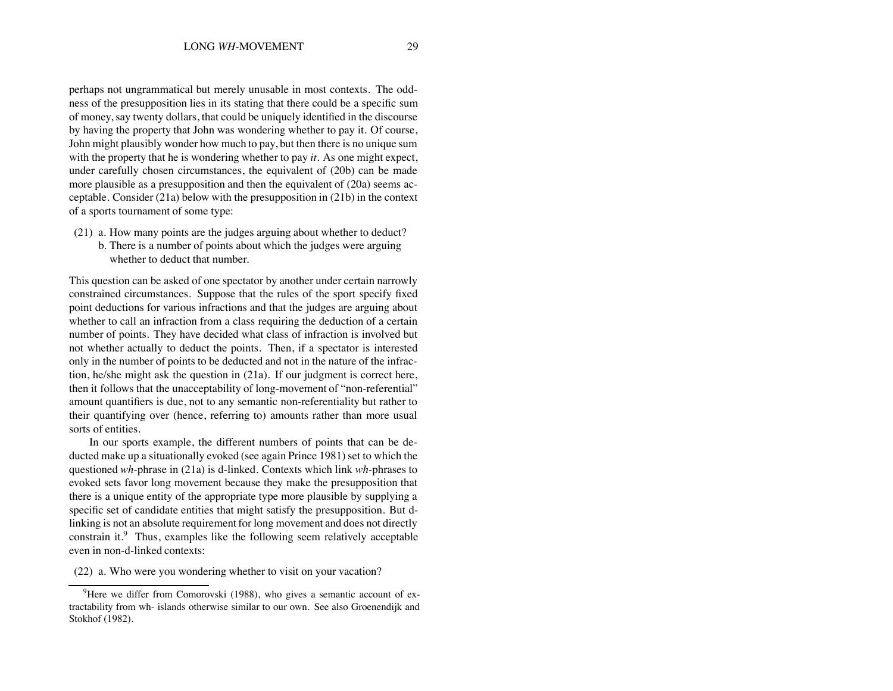perhaps not ungrammatical but merely unusable in most contexts. The oddness of the presupposition lies in its stating that there could be a specific sum of money, say twenty dollars, that could be uniquely identified in the discourse by having the property that John was wondering whether to pay it. Of course, John might plausibly wonder how much to pay, but then there is no unique sum with the property that he is wondering whether to pay *it.* As one might expect, under carefully chosen circumstances, the equivalent of (20b) can be made more plausible as a presupposition and then the equivalent of (20a) seems acceptable. Consider (21a) below with the presupposition in (21b) in the context of a sports tournament of some type:

- (21) a. How many points are the judges arguing about whether to deduct?
	- b. There is a number of points about which the judges were arguing whether to deduct that number.

This question can be asked of one spectator by another under certain narrowly constrained circumstances. Suppose that the rules of the sport specify fixed point deductions for various infractions and that the judges are arguing about whether to call an infraction from a class requiring the deduction of a certain number of points. They have decided what class of infraction is involved but not whether actually to deduct the points. Then, if a spectator is interested only in the number of points to be deducted and not in the nature of the infraction, he/she might ask the question in (21a). If our judgment is correct here, then it follows that the unacceptability of long-movement of "non-referential" amount quantifiers is due, not to any semantic non-referentiality but rather to their quantifying over (hence, referring to) amounts rather than more usual sorts of entities.

In our sports example, the different numbers of points that can be deducted make up a situationally evoked (see again Prince 1981) set to which the questioned *wh-*phrase in (21a) is d-linked. Contexts which link *wh-*phrases to evoked sets favor long movement because they make the presupposition that there is a unique entity of the appropriate type more plausible by supplying a specific set of candidate entities that might satisfy the presupposition. But dlinking is not an absolute requirement for long movement and does not directly constrain it.<sup>9</sup> Thus, examples like the following seem relatively acceptable even in non-d-linked contexts:

(22) a. Who were you wondering whether to visit on your vacation?

<sup>&</sup>lt;sup>9</sup>Here we differ from Comorovski (1988), who gives a semantic account of extractability from wh- islands otherwise similar to our own. See also Groenendijk and Stokhof (1982).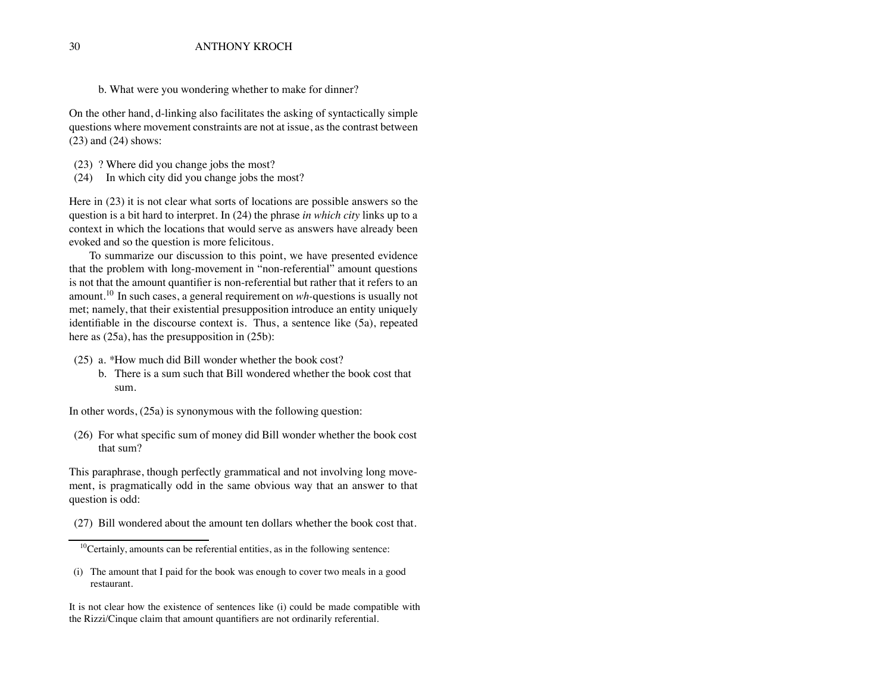b. What were you wondering whether to make for dinner?

On the other hand, d-linking also facilitates the asking of syntactically simple questions where movement constraints are not at issue, as the contrast between (23) and (24) shows:

- (23) ? Where did you change jobs the most?
- (24) In which city did you change jobs the most?

Here in (23) it is not clear what sorts of locations are possible answers so the question is a bit hard to interpret. In (24) the phrase *in which city* links up to a context in which the locations that would serve as answers have already been evoked and so the question is more felicitous.

To summarize our discussion to this point, we have presented evidence that the problem with long-movement in "non-referential" amount questions is not that the amount quantifier is non-referential but rather that it refers to an amount.<sup>10</sup> In such cases, a general requirement on *wh-*questions is usually not met; namely, that their existential presupposition introduce an entity uniquely identifiable in the discourse context is. Thus, a sentence like (5a), repeated here as  $(25a)$ , has the presupposition in  $(25b)$ :

- (25) a. \*How much did Bill wonder whether the book cost?
	- b. There is a sum such that Bill wondered whether the book cost that sum.

In other words, (25a) is synonymous with the following question:

(26) For what specific sum of money did Bill wonder whether the book cost that sum?

This paraphrase, though perfectly grammatical and not involving long movement, is pragmatically odd in the same obvious way that an answer to that question is odd:

(27) Bill wondered about the amount ten dollars whether the book cost that.

It is not clear how the existence of sentences like (i) could be made compatible with the Rizzi/Cinque claim that amount quantifiers are not ordinarily referential.

 $10$ Certainly, amounts can be referential entities, as in the following sentence:

<sup>(</sup>i) The amount that I paid for the book was enough to cover two meals in a good restaurant.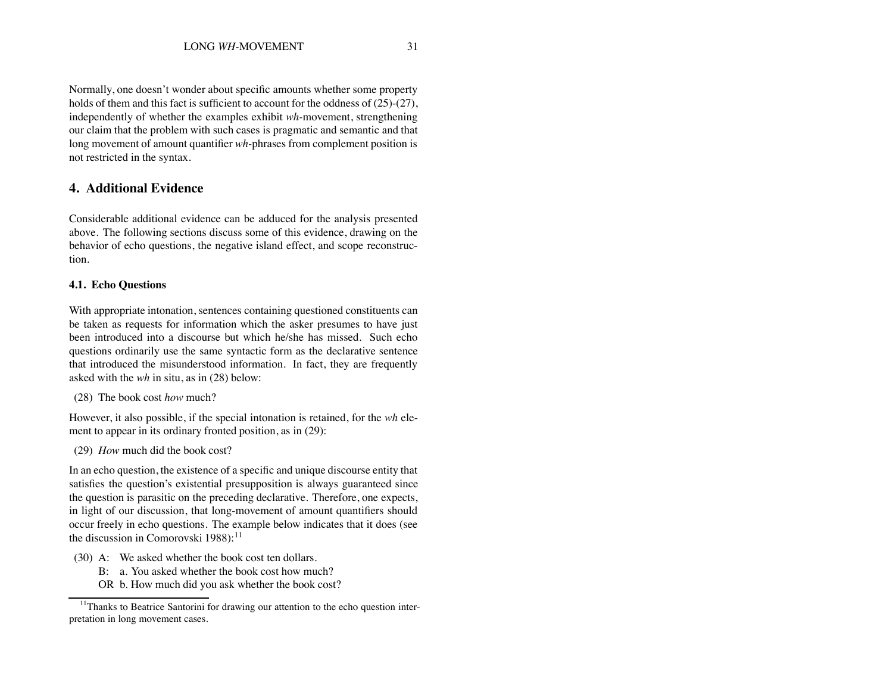Normally, one doesn't wonder about specific amounts whether some property holds of them and this fact is sufficient to account for the oddness of  $(25)-(27)$ , independently of whether the examples exhibit *wh-*movement, strengthening our claim that the problem with such cases is pragmatic and semantic and that long movement of amount quantifier *wh-*phrases from complement position is not restricted in the syntax.

#### **4. Additional Evidence**

Considerable additional evidence can be adduced for the analysis presented above. The following sections discuss some of this evidence, drawing on the behavior of echo questions, the negative island effect, and scope reconstruction.

#### **4.1. Echo Questions**

With appropriate intonation, sentences containing questioned constituents can be taken as requests for information which the asker presumes to have just been introduced into a discourse but which he/she has missed. Such echo questions ordinarily use the same syntactic form as the declarative sentence that introduced the misunderstood information. In fact, they are frequently asked with the *wh* in situ, as in (28) below:

(28) The book cost *how* much?

However, it also possible, if the special intonation is retained, for the *wh* element to appear in its ordinary fronted position, as in (29):

(29) *How* much did the book cost?

In an echo question, the existence of a specific and unique discourse entity that satisfies the question's existential presupposition is always guaranteed since the question is parasitic on the preceding declarative. Therefore, one expects, in light of our discussion, that long-movement of amount quantifiers should occur freely in echo questions. The example below indicates that it does (see the discussion in Comorovski  $1988$ ):<sup>11</sup>

- (30) A: We asked whether the book cost ten dollars.
	- B: a. You asked whether the book cost how much?
	- OR b. How much did you ask whether the book cost?

<sup>&</sup>lt;sup>11</sup>Thanks to Beatrice Santorini for drawing our attention to the echo question interpretation in long movement cases.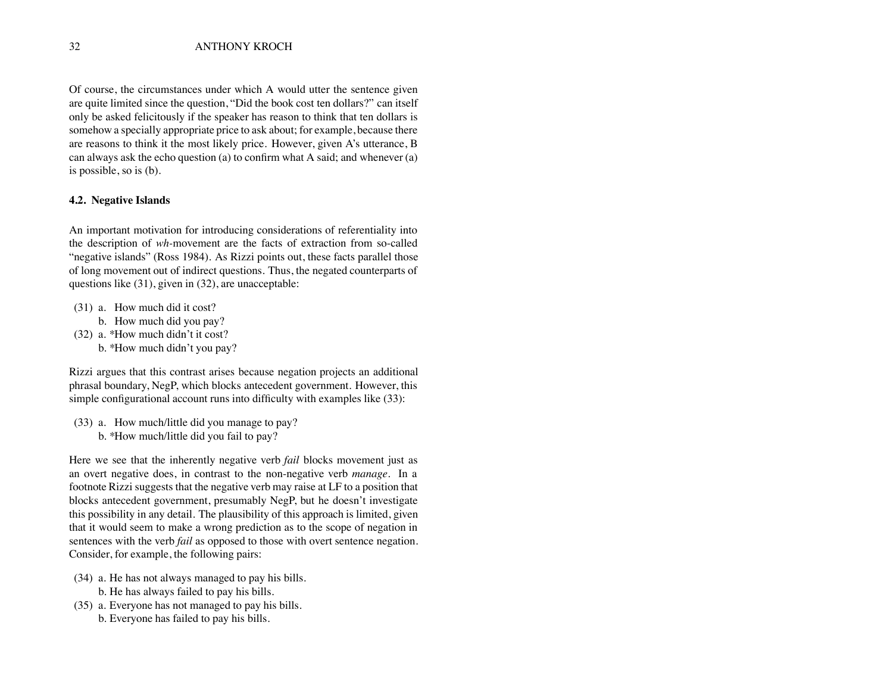Of course, the circumstances under which A would utter the sentence given are quite limited since the question, "Did the book cost ten dollars?" can itself only be asked felicitously if the speaker has reason to think that ten dollars is somehow a specially appropriate price to ask about; for example, because there are reasons to think it the most likely price. However, given A's utterance, B can always ask the echo question (a) to confirm what A said; and whenever (a) is possible, so is (b).

#### **4.2. Negative Islands**

An important motivation for introducing considerations of referentiality into the description of *wh-*movement are the facts of extraction from so-called "negative islands" (Ross 1984). As Rizzi points out, these facts parallel those of long movement out of indirect questions. Thus, the negated counterparts of questions like (31), given in (32), are unacceptable:

- (31) a. How much did it cost?
	- b. How much did you pay?
- (32) a. \*How much didn't it cost?
	- b. \*How much didn't you pay?

Rizzi argues that this contrast arises because negation projects an additional phrasal boundary, NegP, which blocks antecedent government. However, this simple configurational account runs into difficulty with examples like (33):

(33) a. How much/little did you manage to pay? b. \*How much/little did you fail to pay?

Here we see that the inherently negative verb *fail* blocks movement just as an overt negative does, in contrast to the non-negative verb *manage.* In a footnote Rizzi suggests that the negative verb may raise at LF to a position that blocks antecedent government, presumably NegP, but he doesn't investigate this possibility in any detail. The plausibility of this approach is limited, given that it would seem to make a wrong prediction as to the scope of negation in sentences with the verb *fail* as opposed to those with overt sentence negation. Consider, for example, the following pairs:

- (34) a. He has not always managed to pay his bills. b. He has always failed to pay his bills.
- (35) a. Everyone has not managed to pay his bills. b. Everyone has failed to pay his bills.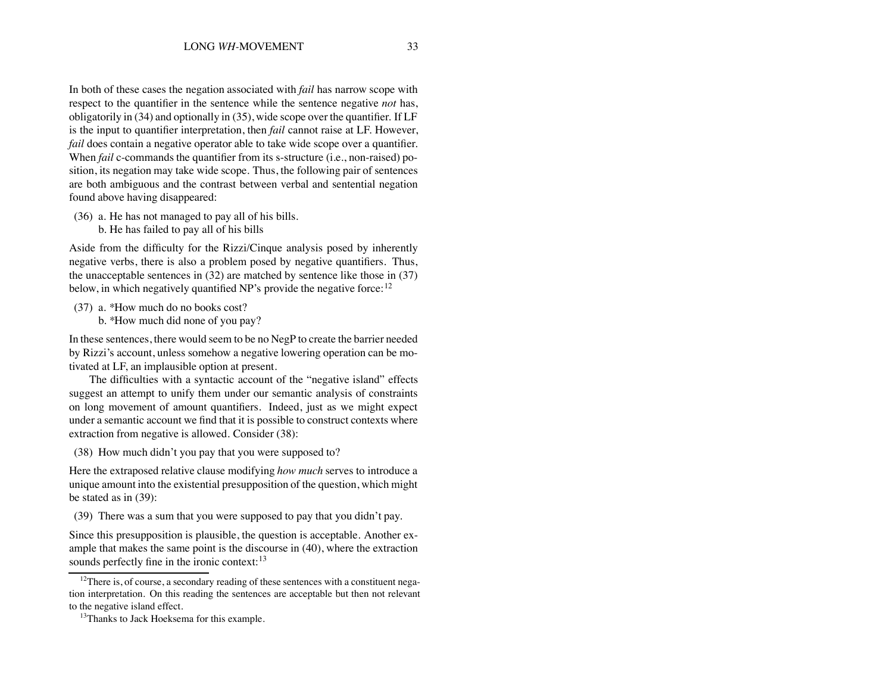In both of these cases the negation associated with *fail* has narrow scope with respect to the quantifier in the sentence while the sentence negative *not* has, obligatorily in (34) and optionally in (35), wide scope over the quantifier. If LF is the input to quantifier interpretation, then *fail* cannot raise at LF. However, *fail* does contain a negative operator able to take wide scope over a quantifier. When *fail* c-commands the quantifier from its s-structure (i.e., non-raised) position, its negation may take wide scope. Thus, the following pair of sentences are both ambiguous and the contrast between verbal and sentential negation found above having disappeared:

- (36) a. He has not managed to pay all of his bills.
	- b. He has failed to pay all of his bills

Aside from the difficulty for the Rizzi/Cinque analysis posed by inherently negative verbs, there is also a problem posed by negative quantifiers. Thus, the unacceptable sentences in (32) are matched by sentence like those in (37) below, in which negatively quantified NP's provide the negative force:  $12$ 

- (37) a. \*How much do no books cost?
	- b. \*How much did none of you pay?

In these sentences, there would seem to be no NegP to create the barrier needed by Rizzi's account, unless somehow a negative lowering operation can be motivated at LF, an implausible option at present.

The difficulties with a syntactic account of the "negative island" effects suggest an attempt to unify them under our semantic analysis of constraints on long movement of amount quantifiers. Indeed, just as we might expect under a semantic account we find that it is possible to construct contexts where extraction from negative is allowed. Consider (38):

(38) How much didn't you pay that you were supposed to?

Here the extraposed relative clause modifying *how much* serves to introduce a unique amount into the existential presupposition of the question, which might be stated as in (39):

(39) There was a sum that you were supposed to pay that you didn't pay.

Since this presupposition is plausible, the question is acceptable. Another example that makes the same point is the discourse in (40), where the extraction sounds perfectly fine in the ironic context:<sup>13</sup>

<sup>&</sup>lt;sup>12</sup>There is, of course, a secondary reading of these sentences with a constituent negation interpretation. On this reading the sentences are acceptable but then not relevant to the negative island effect.

<sup>&</sup>lt;sup>13</sup>Thanks to Jack Hoeksema for this example.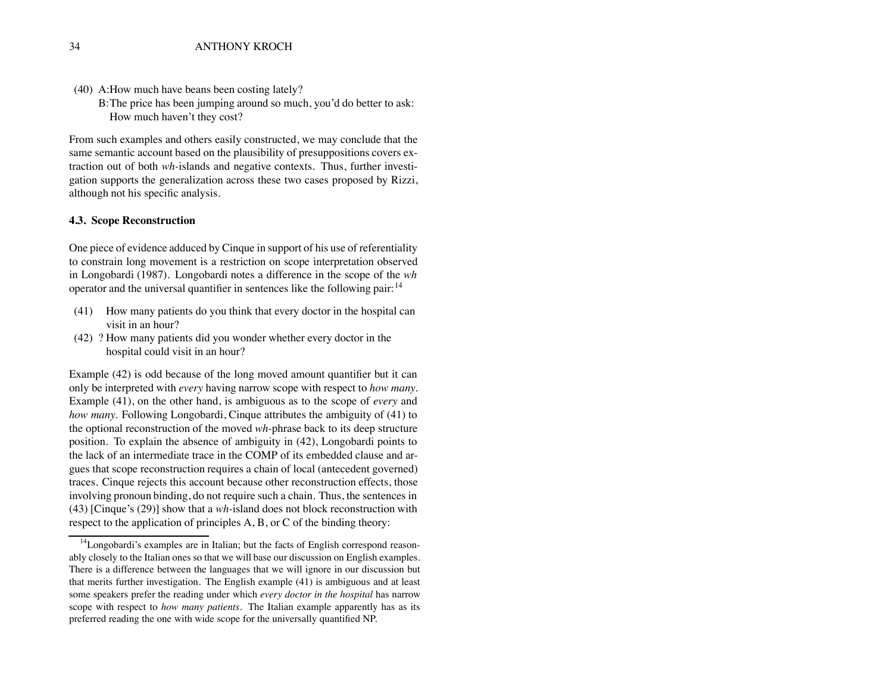- (40) A:How much have beans been costing lately?
	- B:The price has been jumping around so much, you'd do better to ask: How much haven't they cost?

From such examples and others easily constructed, we may conclude that the same semantic account based on the plausibility of presuppositions covers extraction out of both *wh-*islands and negative contexts. Thus, further investigation supports the generalization across these two cases proposed by Rizzi, although not his specific analysis.

#### **4.3. Scope Reconstruction**

One piece of evidence adduced by Cinque in support of his use of referentiality to constrain long movement is a restriction on scope interpretation observed in Longobardi (1987). Longobardi notes a difference in the scope of the *wh* operator and the universal quantifier in sentences like the following pair:  $14$ 

- (41) How many patients do you think that every doctor in the hospital can visit in an hour?
- (42) ? How many patients did you wonder whether every doctor in the hospital could visit in an hour?

Example (42) is odd because of the long moved amount quantifier but it can only be interpreted with *every* having narrow scope with respect to *how many.* Example (41), on the other hand, is ambiguous as to the scope of *every* and *how many.* Following Longobardi, Cinque attributes the ambiguity of (41) to the optional reconstruction of the moved *wh-*phrase back to its deep structure position. To explain the absence of ambiguity in (42), Longobardi points to the lack of an intermediate trace in the COMP of its embedded clause and argues that scope reconstruction requires a chain of local (antecedent governed) traces. Cinque rejects this account because other reconstruction effects, those involving pronoun binding, do not require such a chain. Thus, the sentences in (43) [Cinque's (29)] show that a *wh-*island does not block reconstruction with respect to the application of principles A, B, or C of the binding theory:

 $14$ Longobardi's examples are in Italian; but the facts of English correspond reasonably closely to the Italian ones so that we will base our discussion on English examples. There is a difference between the languages that we will ignore in our discussion but that merits further investigation. The English example (41) is ambiguous and at least some speakers prefer the reading under which *every doctor in the hospital* has narrow scope with respect to *how many patients.* The Italian example apparently has as its preferred reading the one with wide scope for the universally quantified NP.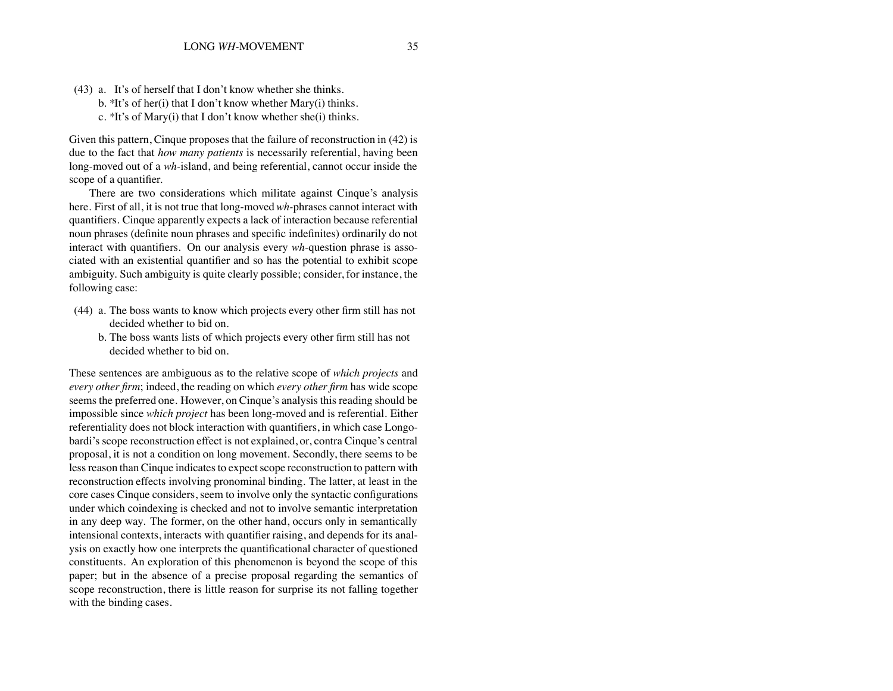(43) a. It's of herself that I don't know whether she thinks. b. \*It's of her(i) that I don't know whether Mary(i) thinks. c. \*It's of Mary(i) that I don't know whether she(i) thinks.

Given this pattern, Cinque proposes that the failure of reconstruction in (42) is due to the fact that *how many patients* is necessarily referential, having been long-moved out of a *wh-*island, and being referential, cannot occur inside the scope of a quantifier.

There are two considerations which militate against Cinque's analysis here. First of all, it is not true that long-moved*wh-*phrases cannot interact with quantifiers. Cinque apparently expects a lack of interaction because referential noun phrases (definite noun phrases and specific indefinites) ordinarily do not interact with quantifiers. On our analysis every *wh-*question phrase is associated with an existential quantifier and so has the potential to exhibit scope ambiguity. Such ambiguity is quite clearly possible; consider, for instance, the following case:

- (44) a. The boss wants to know which projects every other firm still has not decided whether to bid on.
	- b. The boss wants lists of which projects every other firm still has not decided whether to bid on.

These sentences are ambiguous as to the relative scope of *which projects* and *every other firm*; indeed, the reading on which *every other firm* has wide scope seems the preferred one. However, on Cinque's analysis this reading should be impossible since *which project* has been long-moved and is referential. Either referentiality does not block interaction with quantifiers, in which case Longobardi's scope reconstruction effect is not explained, or, contra Cinque's central proposal, it is not a condition on long movement. Secondly, there seems to be less reason than Cinque indicates to expect scope reconstruction to pattern with reconstruction effects involving pronominal binding. The latter, at least in the core cases Cinque considers, seem to involve only the syntactic configurations under which coindexing is checked and not to involve semantic interpretation in any deep way. The former, on the other hand, occurs only in semantically intensional contexts, interacts with quantifier raising, and depends for its analysis on exactly how one interprets the quantificational character of questioned constituents. An exploration of this phenomenon is beyond the scope of this paper; but in the absence of a precise proposal regarding the semantics of scope reconstruction, there is little reason for surprise its not falling together with the binding cases.